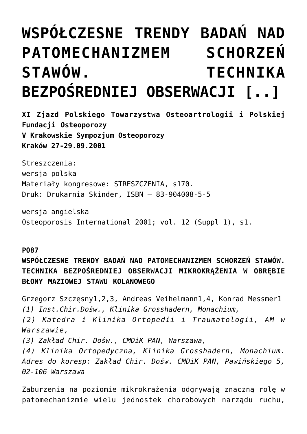## **[WSPÓŁCZESNE TRENDY BADAŃ NAD](https://osteoporoza.pl/wspoczesne-trendy-bada-nad-patomechanizmem-schorze-stawow-technika-bezporedniej-obserwacji/) [PATOMECHANIZMEM SCHORZEŃ](https://osteoporoza.pl/wspoczesne-trendy-bada-nad-patomechanizmem-schorze-stawow-technika-bezporedniej-obserwacji/) [STAWÓW. TECHNIKA](https://osteoporoza.pl/wspoczesne-trendy-bada-nad-patomechanizmem-schorze-stawow-technika-bezporedniej-obserwacji/) [BEZPOŚREDNIEJ OBSERWACJI \[..\]](https://osteoporoza.pl/wspoczesne-trendy-bada-nad-patomechanizmem-schorze-stawow-technika-bezporedniej-obserwacji/)**

**XI Zjazd Polskiego Towarzystwa Osteoartrologii i Polskiej Fundacji Osteoporozy V Krakowskie Sympozjum Osteoporozy Kraków 27-29.09.2001**

Streszczenia: wersja polska Materiały kongresowe: STRESZCZENIA, s170. Druk: Drukarnia Skinder, ISBN – 83-904008-5-5

wersja angielska Osteoporosis International 2001; vol. 12 (Suppl 1), s1.

## **P087**

**WSPÓŁCZESNE TRENDY BADAŃ NAD PATOMECHANIZMEM SCHORZEŃ STAWÓW. TECHNIKA BEZPOŚREDNIEJ OBSERWACJI MIKROKRĄŻENIA W OBRĘBIE BŁONY MAZIOWEJ STAWU KOLANOWEGO**

Grzegorz Szczęsny1,2,3, Andreas Veihelmann1,4, Konrad Messmer1 *(1) Inst.Chir.Dośw., Klinika Grosshadern, Monachium,*

*(2) Katedra i Klinika Ortopedii i Traumatologii, AM w Warszawie,*

*(3) Zakład Chir. Dośw., CMDiK PAN, Warszawa,*

*(4) Klinika Ortopedyczna, Klinika Grosshadern, Monachium. Adres do koresp: Zakład Chir. Dośw. CMDiK PAN, Pawińskiego 5, 02-106 Warszawa*

Zaburzenia na poziomie mikrokrążenia odgrywają znaczną rolę w patomechanizmie wielu jednostek chorobowych narządu ruchu,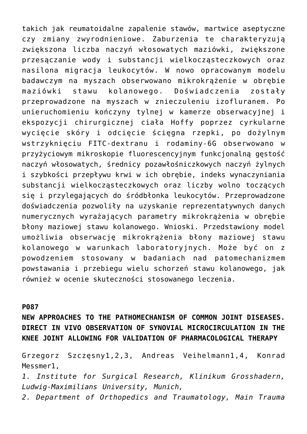takich jak reumatoidalne zapalenie stawów, martwice aseptyczne czy zmiany zwyrodnieniowe. Zaburzenia te charakteryzują zwiększona liczba naczyń włosowatych maziówki, zwiększone przesączanie wody i substancji wielkocząsteczkowych oraz nasilona migracja leukocytów. W nowo opracowanym modelu badawczym na myszach obserwowano mikrokrążenie w obrębie maziówki stawu kolanowego. Doświadczenia zostały przeprowadzone na myszach w znieczuleniu izofluranem. Po unieruchomieniu kończyny tylnej w kamerze obserwacyjnej i ekspozycji chirurgicznej ciała Hoffy poprzez cyrkularne wycięcie skóry i odcięcie ścięgna rzepki, po dożylnym wstrzyknięciu FITC-dextranu i rodaminy-6G obserwowano w przyżyciowym mikroskopie fluorescencyjnym funkcjonalną gęstość naczyń włosowatych, średnicy pozawłośniczkowych naczyń żylnych i szybkości przepływu krwi w ich obrębie, indeks wynaczyniania substancji wielkocząsteczkowych oraz liczby wolno toczących się i przylegających do śródbłonka leukocytów. Przeprowadzone doświadczenia pozwoliły na uzyskanie reprezentatywnych danych numerycznych wyrażających parametry mikrokrążenia w obrębie błony maziowej stawu kolanowego. Wnioski. Przedstawiony model umożliwia obserwację mikrokrążenia błony maziowej stawu kolanowego w warunkach laboratoryjnych. Może być on z powodzeniem stosowany w badaniach nad patomechanizmem powstawania i przebiegu wielu schorzeń stawu kolanowego, jak również w ocenie skuteczności stosowanego leczenia.

## **P087**

**NEW APPROACHES TO THE PATHOMECHANISM OF COMMON JOINT DISEASES. DIRECT IN VIVO OBSERVATION OF SYNOVIAL MICROCIRCULATION IN THE KNEE JOINT ALLOWING FOR VALIDATION OF PHARMACOLOGICAL THERAPY**

Grzegorz Szczęsny1,2,3, Andreas Veihelmann1,4, Konrad Messmer1,

*1. Institute for Surgical Research, Klinikum Grosshadern, Ludwig-Maximilians University, Munich,*

*2. Department of Orthopedics and Traumatology, Main Trauma*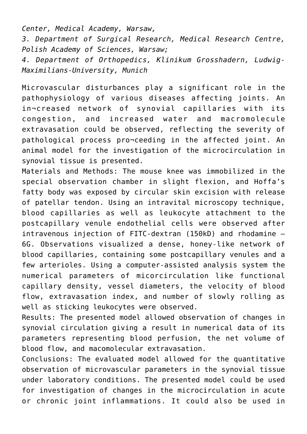*Center, Medical Academy, Warsaw,*

*3. Department of Surgical Research, Medical Research Centre, Polish Academy of Sciences, Warsaw;*

*4. Department of Orthopedics, Klinikum Grosshadern, Ludwig-Maximilians-University, Munich*

Microvascular disturbances play a significant role in the pathophysiology of various diseases affecting joints. An in¬creased network of synovial capillaries with its congestion, and increased water and macromolecule extravasation could be observed, reflecting the severity of pathological process pro¬ceeding in the affected joint. An animal model for the investigation of the microcirculation in synovial tissue is presented.

Materials and Methods: The mouse knee was immobilized in the special observation chamber in slight flexion, and Hoffa's fatty body was exposed by circular skin excision with release of patellar tendon. Using an intravital microscopy technique, blood capillaries as well as leukocyte attachment to the postcapillary venule endothelial cells were observed after intravenous injection of FITC-dextran (150kD) and rhodamine – 6G. Observations visualized a dense, honey-like network of blood capillaries, containing some postcapillary venules and a few arterioles. Using a computer-assisted analysis system the numerical parameters of micorcirculation like functional capillary density, vessel diameters, the velocity of blood flow, extravasation index, and number of slowly rolling as well as sticking leukocytes were observed.

Results: The presented model allowed observation of changes in synovial circulation giving a result in numerical data of its parameters representing blood perfusion, the net volume of blood flow, and macomolecular extravasation.

Conclusions: The evaluated model allowed for the quantitative observation of microvascular parameters in the synovial tissue under laboratory conditions. The presented model could be used for investigation of changes in the microcirculation in acute or chronic joint inflammations. It could also be used in